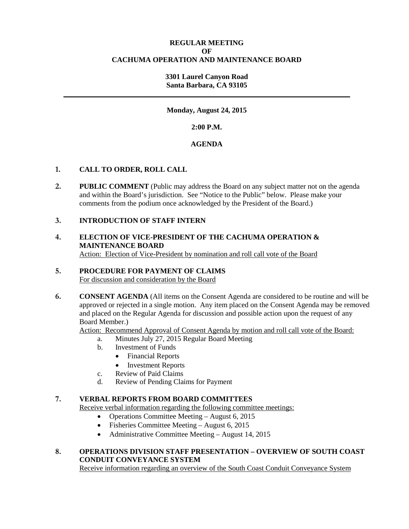## **REGULAR MEETING OF CACHUMA OPERATION AND MAINTENANCE BOARD**

### **3301 Laurel Canyon Road Santa Barbara, CA 93105 \_\_\_\_\_\_\_\_\_\_\_\_\_\_\_\_\_\_\_\_\_\_\_\_\_\_\_\_\_\_\_\_\_\_\_\_\_\_\_\_\_\_\_\_\_\_\_\_\_\_\_\_\_\_\_\_\_\_\_\_\_\_\_\_\_\_\_\_\_\_\_\_\_\_\_\_\_\_**

## **Monday, August 24, 2015**

**2:00 P.M.**

## **AGENDA**

## **1. CALL TO ORDER, ROLL CALL**

**2. PUBLIC COMMENT** (Public may address the Board on any subject matter not on the agenda and within the Board's jurisdiction. See "Notice to the Public" below. Please make your comments from the podium once acknowledged by the President of the Board.)

## **3. INTRODUCTION OF STAFF INTERN**

## **4. ELECTION OF VICE-PRESIDENT OF THE CACHUMA OPERATION & MAINTENANCE BOARD** Action: Election of Vice-President by nomination and roll call vote of the Board

## **5. PROCEDURE FOR PAYMENT OF CLAIMS**

For discussion and consideration by the Board

**6. CONSENT AGENDA** (All items on the Consent Agenda are considered to be routine and will be approved or rejected in a single motion. Any item placed on the Consent Agenda may be removed and placed on the Regular Agenda for discussion and possible action upon the request of any Board Member.)

Action: Recommend Approval of Consent Agenda by motion and roll call vote of the Board:

- a. Minutes July 27, 2015 Regular Board Meeting
	- b. Investment of Funds
		- Financial Reports
		- Investment Reports
	- c. Review of Paid Claims
	- d. Review of Pending Claims for Payment

### **7. VERBAL REPORTS FROM BOARD COMMITTEES**

Receive verbal information regarding the following committee meetings:

- Operations Committee Meeting August 6, 2015
- Fisheries Committee Meeting August 6, 2015
- Administrative Committee Meeting August 14, 2015

## **8. OPERATIONS DIVISION STAFF PRESENTATION – OVERVIEW OF SOUTH COAST CONDUIT CONVEYANCE SYSTEM**

Receive information regarding an overview of the South Coast Conduit Conveyance System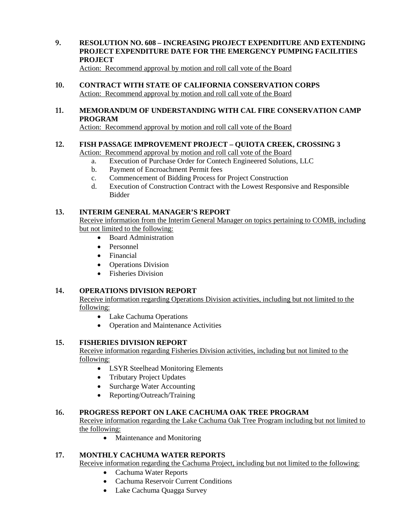**9. RESOLUTION NO. 608 – INCREASING PROJECT EXPENDITURE AND EXTENDING PROJECT EXPENDITURE DATE FOR THE EMERGENCY PUMPING FACILITIES PROJECT**

Action: Recommend approval by motion and roll call vote of the Board

- **10. CONTRACT WITH STATE OF CALIFORNIA CONSERVATION CORPS** Action: Recommend approval by motion and roll call vote of the Board
- **11. MEMORANDUM OF UNDERSTANDING WITH CAL FIRE CONSERVATION CAMP PROGRAM**

Action: Recommend approval by motion and roll call vote of the Board

# **12. FISH PASSAGE IMPROVEMENT PROJECT – QUIOTA CREEK, CROSSING 3**

Action: Recommend approval by motion and roll call vote of the Board

- a. Execution of Purchase Order for Contech Engineered Solutions, LLC
- b. Payment of Encroachment Permit fees
- c. Commencement of Bidding Process for Project Construction
- d. Execution of Construction Contract with the Lowest Responsive and Responsible Bidder

## **13. INTERIM GENERAL MANAGER'S REPORT**

Receive information from the Interim General Manager on topics pertaining to COMB, including but not limited to the following:

- Board Administration
- Personnel
- Financial
- Operations Division
- Fisheries Division

## **14. OPERATIONS DIVISION REPORT**

Receive information regarding Operations Division activities, including but not limited to the following:

- Lake Cachuma Operations
- Operation and Maintenance Activities

## **15. FISHERIES DIVISION REPORT**

Receive information regarding Fisheries Division activities, including but not limited to the following:

- LSYR Steelhead Monitoring Elements
- Tributary Project Updates
- Surcharge Water Accounting
- Reporting/Outreach/Training

## **16. PROGRESS REPORT ON LAKE CACHUMA OAK TREE PROGRAM**

Receive information regarding the Lake Cachuma Oak Tree Program including but not limited to the following:

• Maintenance and Monitoring

## **17. MONTHLY CACHUMA WATER REPORTS**

Receive information regarding the Cachuma Project, including but not limited to the following:

- Cachuma Water Reports
- Cachuma Reservoir Current Conditions
- Lake Cachuma Quagga Survey